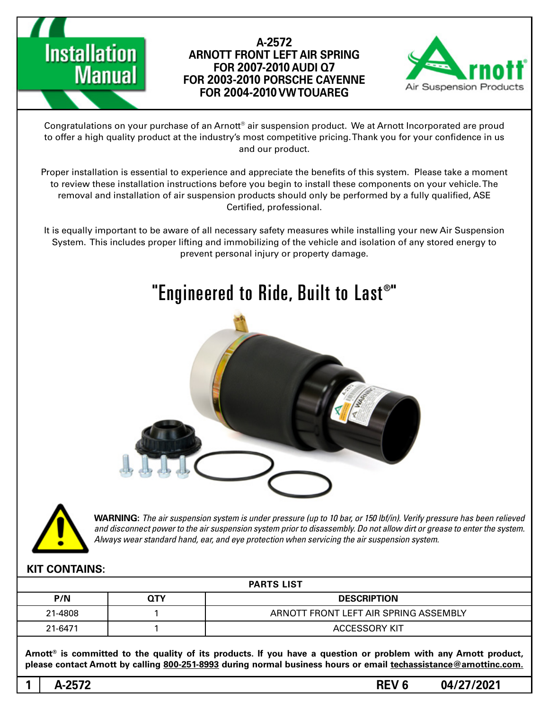

### **A-2572 ARNOTT FRONT LEFT AIR SPRING 7Q AUDI 2007-2010 FOR FOR 2003-2010 PORSCHE CAYENNE FOR 2004-2010 VW TOUAREG**



Congratulations on your purchase of an Arnott® air suspension product. We at Arnott Incorporated are proud to offer a high quality product at the industry's most competitive pricing. Thank you for your confidence in us and our product.

Proper installation is essential to experience and appreciate the benefits of this system. Please take a moment to review these installation instructions before you begin to install these components on your vehicle. The removal and installation of air suspension products should only be performed by a fully qualified, ASE Certified, professional.

It is equally important to be aware of all necessary safety measures while installing your new Air Suspension System. This includes proper lifting and immobilizing of the vehicle and isolation of any stored energy to prevent personal injury or property damage.





*WARNING: The air suspension system is under pressure (up to 10 bar, or 150 lbf/in). Verify pressure has been relieved* and disconnect power to the air suspension system prior to disassembly. Do not allow dirt or grease to enter the system. Always wear standard hand, ear, and eye protection when servicing the air suspension system.

### **KIT CONTAINS:**

| <b>PARTS LIST</b> |     |                                       |
|-------------------|-----|---------------------------------------|
| P/N               | QΤY | <b>DESCRIPTION</b>                    |
| 21-4808           |     | ARNOTT FRONT LEFT AIR SPRING ASSEMBLY |
| 21-6471           |     | <b>ACCESSORY KIT</b>                  |

Arnott<sup>®</sup> is committed to the quality of its products. If you have a question or problem with any Arnott product, please contact Arnott by calling 800-251-8993 during normal business hours or email techassistance@arnottinc.com.

**1**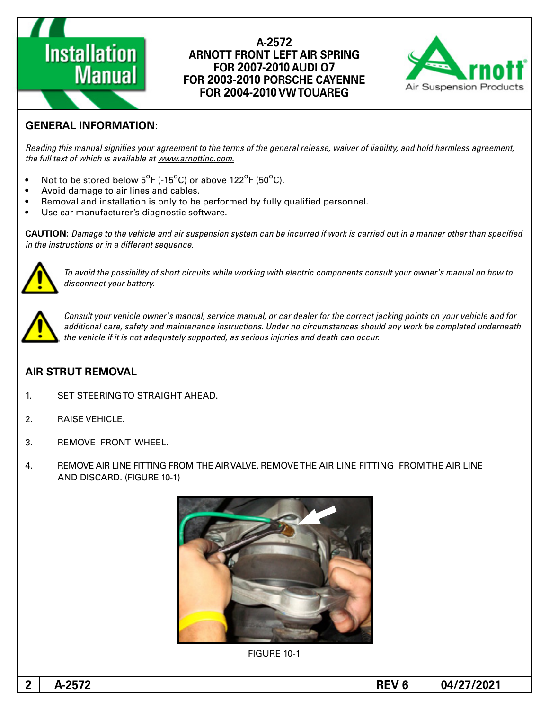# **Installation Manual**

#### **A-2572 ARNOTT FRONT LEFT AIR SPRING 7Q AUDI 2007-2010 FOR FOR 2003-2010 PORSCHE CAYENNE FOR 2004-2010 VW TOUAREG**



## **GENERAL INFORMATION:**

Reading this manual signifies your agreement to the terms of the general release, waiver of liability, and hold harmless agreement, the full text of which is available at www.arnottinc.com.

- Not to be stored below  $5^{\circ}$ F (-15 $^{\circ}$ C) or above 122 $^{\circ}$ F (50 $^{\circ}$ C).
- Avoid damage to air lines and cables.
- Removal and installation is only to be performed by fully qualified personnel.
- Use car manufacturer's diagnostic software.

**CAUTION:** Damage to the vehicle and air suspension system can be incurred if work is carried out in a manner other than specified *in the instructions or in a different sequence.* 



To avoid the possibility of short circuits while working with electric components consult your owner's manual on how to disconnect your battery.



*Consult your vehicle owner's manual, service manual, or car dealer for the correct jacking points on your vehicle and for* additional care, safety and maintenance instructions. Under no circumstances should any work be completed underneath the vehicle if it is not adequately supported, as serious injuries and death can occur.

### **AIR STRUT REMOVAL**

- 1. SET STEERING TO STRAIGHT AHEAD.
- 2. RAISE VEHICLE.
- 3. REMOVE FRONT WHEEL.
- 4. BEMOVE AIR LINE FITTING FROM THE AIR VALVE. REMOVE THE AIR LINE FITTING FROM THE AIR LINE AND DISCARD. (FIGURE 10-1)



**FIGURE 10-1**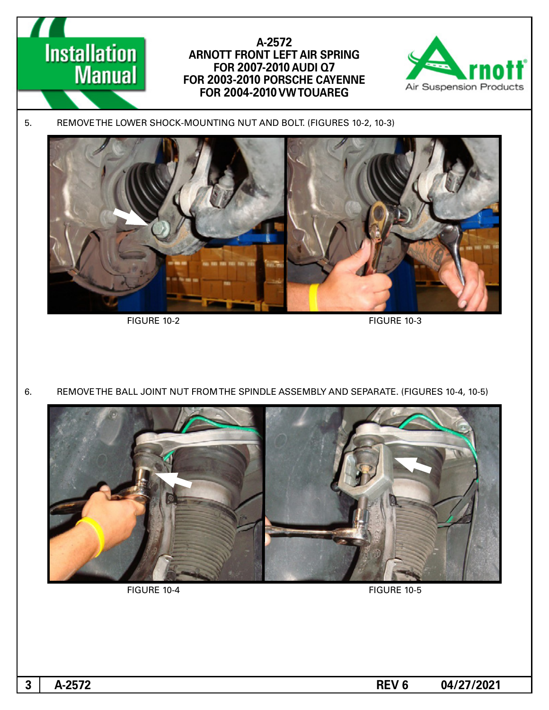

6. REMOVE THE BALL JOINT NUT FROM THE SPINDLE ASSEMBLY AND SEPARATE. (FIGURES 10-4, 10-5)



FIGURE 10-4 FIGURE 10-5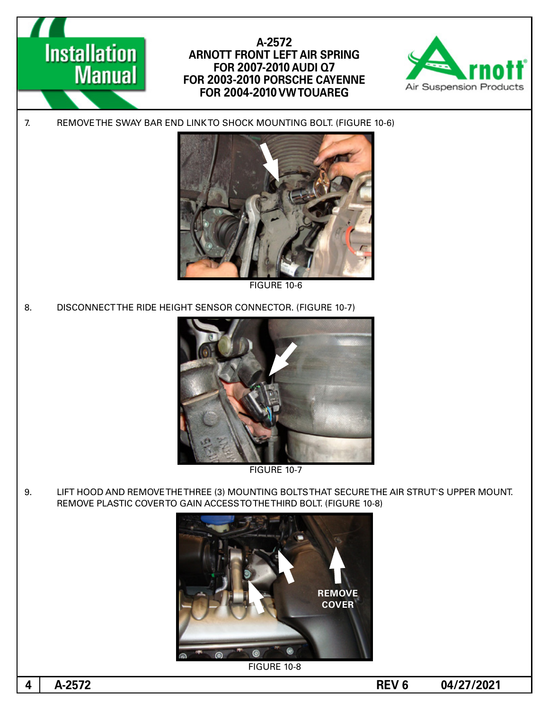

9. LIFT HOOD AND REMOVE THE THREE (3) MOUNTING BOLTS THAT SECURE THE AIR STRUT'S UPPER MOUNT. REMOVE PLASTIC COVER TO GAIN ACCESS TO THE THIRD BOLT. (FIGURE 10-8)

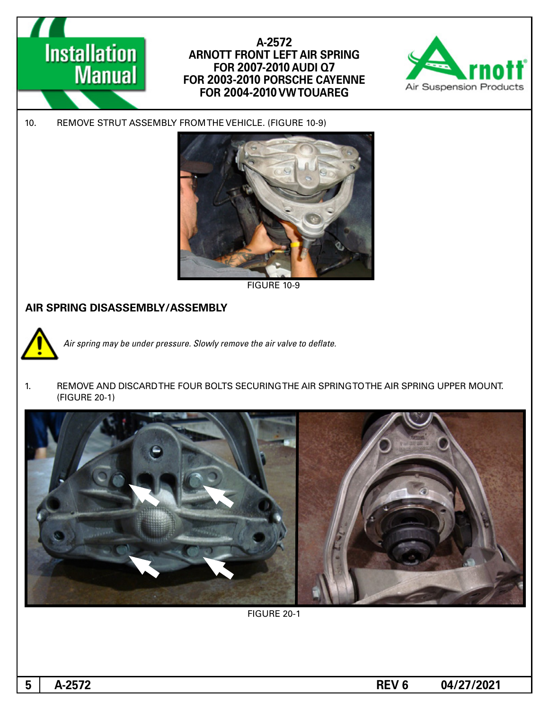

### A-2572 **ARNOTT FRONT LEFT AIR SPRING 7Q AUDI 2007-2010 FOR FOR 2003-2010 PORSCHE CAYENNE FOR 2004-2010 VW TOUAREG**



10. REMOVE STRUT ASSEMBLY FROM THE VEHICLE. (FIGURE 10-9)



FIGURE 10-9

### **AIR SPRING DISASSEMBLY/ASSEMBLY**



Air spring may be under pressure. Slowly remove the air valve to deflate.

1. REMOVE AND DISCARDTHE FOUR BOLTS SECURING THE AIR SPRING TO THE AIR SPRING UPPER MOUNT. (FIGURE 20-1)



FIGURE 20-1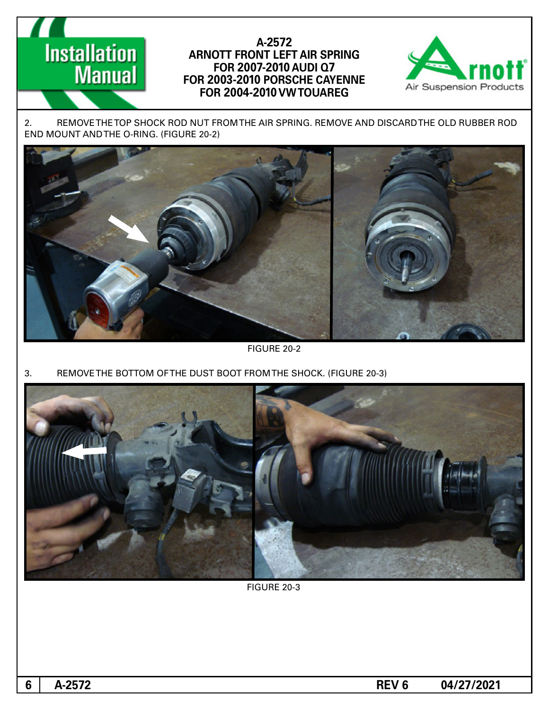# **Installation Manual**

### A-2572 **ARNOTT FRONT LEFT AIR SPRING 7Q AUDI 2007-2010 FOR FOR 2003-2010 PORSCHE CAYENNE FOR 2004-2010 VW TOUAREG**



2. REMOVE THE TOP SHOCK ROD NUT FROM THE AIR SPRING. REMOVE AND DISCARD THE OLD RUBBER ROD END MOUNT AND THE O-RING. (FIGURE 20-2)



FIGURE 20-2

3. REMOVE THE BOTTOM OF THE DUST BOOT FROM THE SHOCK. (FIGURE 20-3)



FIGURE 20-3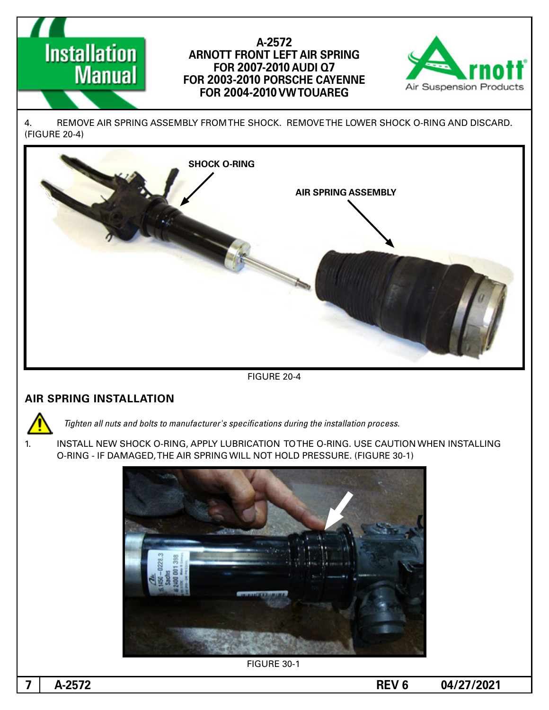# **Installation Manual**

### A-2572 **ARNOTT FRONT LEFT AIR SPRING 7Q AUDI 2007-2010 FOR FOR 2003-2010 PORSCHE CAYENNE FOR 2004-2010 VW TOUAREG**



4. BEMOVE AIR SPRING ASSEMBLY FROM THE SHOCK. REMOVE THE LOWER SHOCK O-RING AND DISCARD. (FIGURE 20-4)



**FIGURE 20-4** 

### **AIR SPRING INSTALLATION**

*Tighten all nuts and bolts to manufacturer's specifications during the installation process.* 

1. INSTALL NEW SHOCK O-RING, APPLY LUBRICATION TO THE O-RING. USE CAUTION WHEN INSTALLING O-RING - IF DAMAGED, THE AIR SPRING WILL NOT HOLD PRESSURE. (FIGURE 30-1)



**7**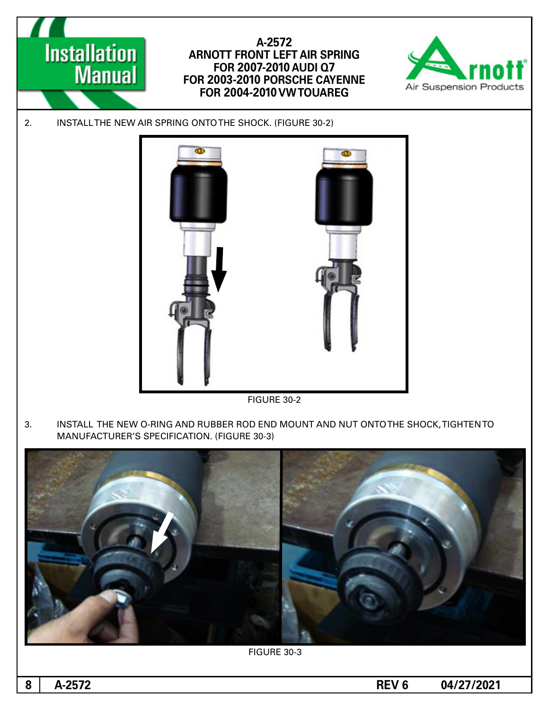

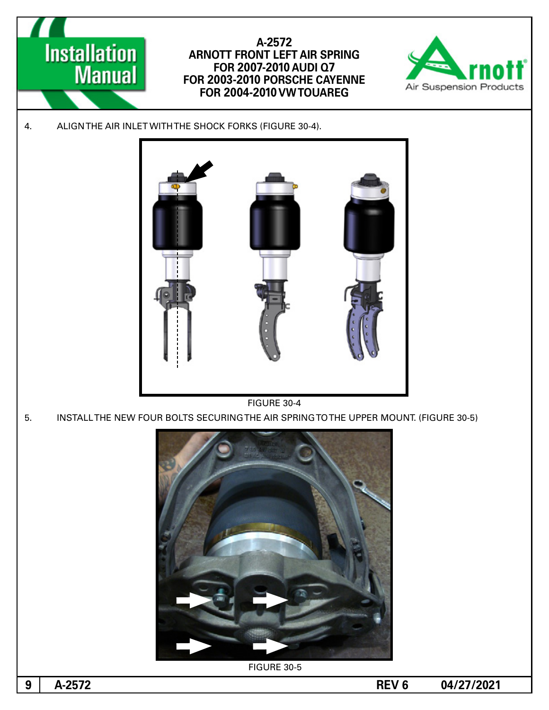

5. INSTALL THE NEW FOUR BOLTS SECURING THE AIR SPRING TO THE UPPER MOUNT. (FIGURE 30-5)



**FIGURE 30-5**